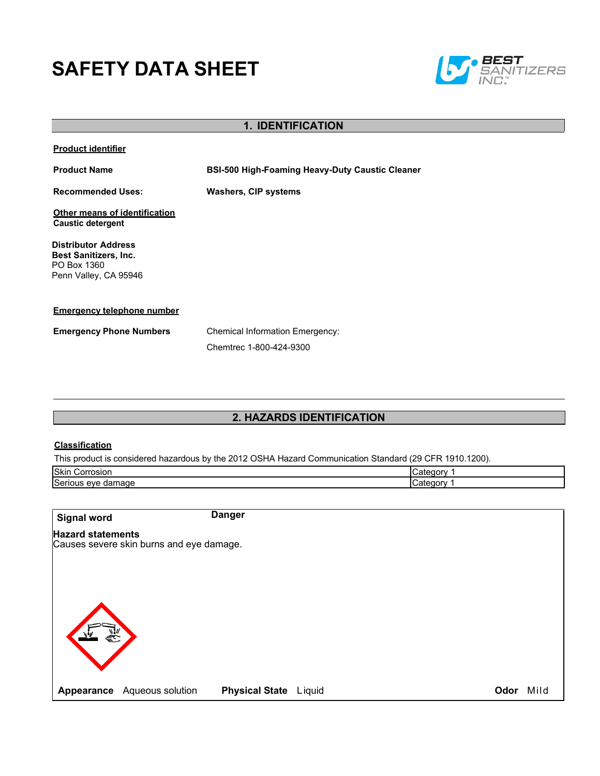# **SAFETY DATA SHEET**



| <b>1. IDENTIFICATION</b>                                                                           |                                                                   |  |
|----------------------------------------------------------------------------------------------------|-------------------------------------------------------------------|--|
| <b>Product identifier</b>                                                                          |                                                                   |  |
| <b>Product Name</b>                                                                                | <b>BSI-500 High-Foaming Heavy-Duty Caustic Cleaner</b>            |  |
| <b>Recommended Uses:</b>                                                                           | <b>Washers, CIP systems</b>                                       |  |
| Other means of identification<br><b>Caustic detergent</b>                                          |                                                                   |  |
| <b>Distributor Address</b><br><b>Best Sanitizers, Inc.</b><br>PO Box 1360<br>Penn Valley, CA 95946 |                                                                   |  |
| <b>Emergency telephone number</b>                                                                  |                                                                   |  |
| <b>Emergency Phone Numbers</b>                                                                     | <b>Chemical Information Emergency:</b><br>Chemtrec 1-800-424-9300 |  |

## **2. HAZARDS IDENTIFICATION**

## **Classification**

This product is considered hazardous by the 2012 OSHA Hazard Communication Standard (29 CFR 1910.1200).

| Skin                     | -----                          |
|--------------------------|--------------------------------|
| Corrosion                | Jateor,                        |
| Serious<br>damage<br>eve | $- - - - - - - -$<br>∵ategorvس |

| <b>Signal word</b>       | <b>Danger</b>                                               |      |      |
|--------------------------|-------------------------------------------------------------|------|------|
| <b>Hazard statements</b> | Causes severe skin burns and eye damage.                    |      |      |
|                          |                                                             |      |      |
|                          |                                                             |      |      |
|                          |                                                             |      |      |
|                          |                                                             |      |      |
|                          | <b>Physical State</b> Liquid<br>Appearance Aqueous solution | Odor | Mild |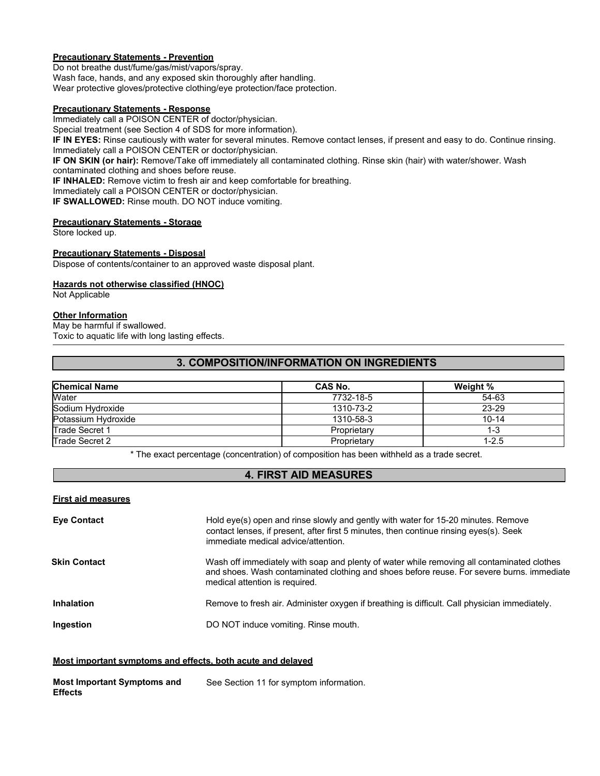## **Precautionary Statements - Prevention**

Do not breathe dust/fume/gas/mist/vapors/spray. Wash face, hands, and any exposed skin thoroughly after handling. Wear protective gloves/protective clothing/eye protection/face protection.

#### **Precautionary Statements - Response**

Immediately call a POISON CENTER of doctor/physician.

Special treatment (see Section 4 of SDS for more information).

**IF IN EYES:** Rinse cautiously with water for several minutes. Remove contact lenses, if present and easy to do. Continue rinsing. Immediately call a POISON CENTER or doctor/physician.

**IF ON SKIN (or hair):** Remove/Take off immediately all contaminated clothing. Rinse skin (hair) with water/shower. Wash contaminated clothing and shoes before reuse.

**IF INHALED:** Remove victim to fresh air and keep comfortable for breathing.

Immediately call a POISON CENTER or doctor/physician.

**IF SWALLOWED:** Rinse mouth. DO NOT induce vomiting.

### **Precautionary Statements - Storage**

Store locked up.

#### **Precautionary Statements - Disposal**

Dispose of contents/container to an approved waste disposal plant.

#### **Hazards not otherwise classified (HNOC)**

Not Applicable

#### **Other Information**

May be harmful if swallowed. Toxic to aquatic life with long lasting effects.

## **3. COMPOSITION/INFORMATION ON INGREDIENTS**

| <b>Chemical Name</b>  | CAS No.     | Weight %  |
|-----------------------|-------------|-----------|
| Water                 | 7732-18-5   | 54-63     |
| Sodium Hydroxide      | 1310-73-2   | 23-29     |
| Potassium Hydroxide   | 1310-58-3   | $10 - 14$ |
| <b>Trade Secret 1</b> | Proprietary | $1 - 3$   |
| <b>Trade Secret 2</b> | Proprietary | $1 - 2.5$ |

\* The exact percentage (concentration) of composition has been withheld as a trade secret.

## **4. FIRST AID MEASURES**

#### **First aid measures**

| <b>Eye Contact</b>  | Hold eye(s) open and rinse slowly and gently with water for 15-20 minutes. Remove<br>contact lenses, if present, after first 5 minutes, then continue rinsing eyes(s). Seek<br>immediate medical advice/attention.        |
|---------------------|---------------------------------------------------------------------------------------------------------------------------------------------------------------------------------------------------------------------------|
| <b>Skin Contact</b> | Wash off immediately with soap and plenty of water while removing all contaminated clothes<br>and shoes. Wash contaminated clothing and shoes before reuse. For severe burns. immediate<br>medical attention is required. |
| <b>Inhalation</b>   | Remove to fresh air. Administer oxygen if breathing is difficult. Call physician immediately.                                                                                                                             |
| Ingestion           | DO NOT induce vomiting. Rinse mouth.                                                                                                                                                                                      |

#### **Most important symptoms and effects, both acute and delayed**

| <b>Most Important Symptoms and</b> | See Section 11 for symptom information. |
|------------------------------------|-----------------------------------------|
| <b>Effects</b>                     |                                         |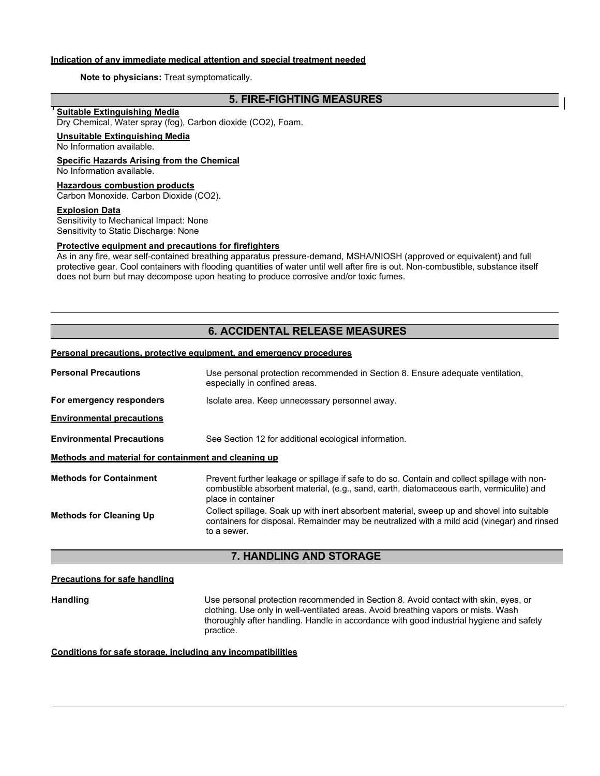## **Indication of any immediate medical attention and special treatment needed**

#### **Note to physicians:** Treat symptomatically.

## **5. FIRE-FIGHTING MEASURES**

## **Suitable Extinguishing Media**

Dry Chemical, Water spray (fog), Carbon dioxide (CO2), Foam.

#### **Unsuitable Extinguishing Media**

No Information available.

#### **Specific Hazards Arising from the Chemical** No Information available.

## **Hazardous combustion products**

Carbon Monoxide. Carbon Dioxide (CO2).

#### **Explosion Data**

Sensitivity to Mechanical Impact: None Sensitivity to Static Discharge: None

#### **Protective equipment and precautions for firefighters**

As in any fire, wear self-contained breathing apparatus pressure-demand, MSHA/NIOSH (approved or equivalent) and full protective gear. Cool containers with flooding quantities of water until well after fire is out. Non-combustible, substance itself does not burn but may decompose upon heating to produce corrosive and/or toxic fumes.

## **6. ACCIDENTAL RELEASE MEASURES**

#### **Personal precautions, protective equipment, and emergency procedures**

| <b>Personal Precautions</b>                              | Use personal protection recommended in Section 8. Ensure adequate ventilation,<br>especially in confined areas.                                                                                                |  |
|----------------------------------------------------------|----------------------------------------------------------------------------------------------------------------------------------------------------------------------------------------------------------------|--|
| For emergency responders                                 | Isolate area. Keep unnecessary personnel away.                                                                                                                                                                 |  |
| <b>Environmental precautions</b>                         |                                                                                                                                                                                                                |  |
| <b>Environmental Precautions</b>                         | See Section 12 for additional ecological information.                                                                                                                                                          |  |
| Methods and material for containment and cleaning up     |                                                                                                                                                                                                                |  |
| <b>Methods for Containment</b>                           | Prevent further leakage or spillage if safe to do so. Contain and collect spillage with non-<br>combustible absorbent material, (e.g., sand, earth, diatomaceous earth, vermiculite) and<br>place in container |  |
| <b>Methods for Cleaning Up</b>                           | Collect spillage. Soak up with inert absorbent material, sweep up and shovel into suitable<br>containers for disposal. Remainder may be neutralized with a mild acid (vinegar) and rinsed<br>to a sewer.       |  |
| <b>UANDI INC AND CTODACE</b><br>$\overline{\phantom{a}}$ |                                                                                                                                                                                                                |  |

#### **7. HANDLING AND STORAGE**

#### **Precautions for safe handling**

**Handling** Use personal protection recommended in Section 8. Avoid contact with skin, eyes, or clothing. Use only in well-ventilated areas. Avoid breathing vapors or mists. Wash thoroughly after handling. Handle in accordance with good industrial hygiene and safety practice.

#### **Conditions for safe storage, including any incompatibilities**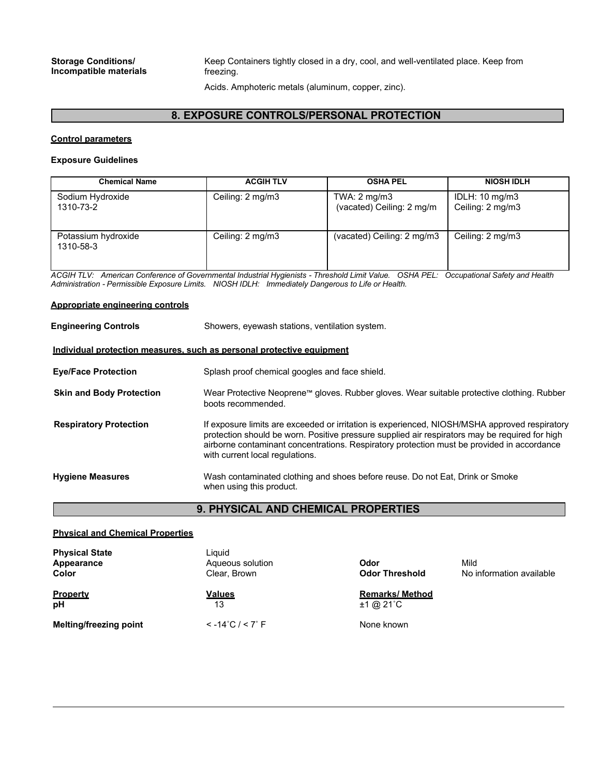#### **Storage Conditions/ Incompatible materials**

Keep Containers tightly closed in a dry, cool, and well-ventilated place. Keep from freezing.

Acids. Amphoteric metals (aluminum, copper, zinc).

## **8. EXPOSURE CONTROLS/PERSONAL PROTECTION**

#### **Control parameters**

#### **Exposure Guidelines**

| <b>Chemical Name</b>             | <b>ACGIH TLV</b> | <b>OSHA PEL</b>                                     | <b>NIOSH IDLH</b>                  |
|----------------------------------|------------------|-----------------------------------------------------|------------------------------------|
| Sodium Hydroxide<br>1310-73-2    | Ceiling: 2 mg/m3 | TWA: $2 \text{ mg/m3}$<br>(vacated) Ceiling: 2 mg/m | IDLH: 10 mg/m3<br>Ceiling: 2 mg/m3 |
| Potassium hydroxide<br>1310-58-3 | Ceiling: 2 mg/m3 | (vacated) Ceiling: 2 mg/m3                          | Ceiling: 2 mg/m3                   |

*ACGIH TLV: American Conference of Governmental Industrial Hygienists - Threshold Limit Value. OSHA PEL: Occupational Safety and Health Administration - Permissible Exposure Limits. NIOSH IDLH: Immediately Dangerous to Life or Health.*

#### **Appropriate engineering controls**

| <b>Engineering Controls</b>                                           | Showers, eyewash stations, ventilation system.                                                                                                                                                                                                                                                                                   |  |  |
|-----------------------------------------------------------------------|----------------------------------------------------------------------------------------------------------------------------------------------------------------------------------------------------------------------------------------------------------------------------------------------------------------------------------|--|--|
| Individual protection measures, such as personal protective equipment |                                                                                                                                                                                                                                                                                                                                  |  |  |
| <b>Eye/Face Protection</b>                                            | Splash proof chemical googles and face shield.                                                                                                                                                                                                                                                                                   |  |  |
| <b>Skin and Body Protection</b>                                       | Wear Protective Neoprene™ gloves. Rubber gloves. Wear suitable protective clothing. Rubber<br>boots recommended.                                                                                                                                                                                                                 |  |  |
| <b>Respiratory Protection</b>                                         | If exposure limits are exceeded or irritation is experienced, NIOSH/MSHA approved respiratory<br>protection should be worn. Positive pressure supplied air respirators may be required for high<br>airborne contaminant concentrations. Respiratory protection must be provided in accordance<br>with current local regulations. |  |  |
| <b>Hygiene Measures</b>                                               | Wash contaminated clothing and shoes before reuse. Do not Eat, Drink or Smoke<br>when using this product.                                                                                                                                                                                                                        |  |  |

## **9. PHYSICAL AND CHEMICAL PROPERTIES**

## **Physical and Chemical Properties**

| <b>Physical State</b><br>Appearance<br>Color | Liauid<br>Aqueous solution<br>Clear, Brown | Odor<br><b>Odor Threshold</b>      | Mild<br>No information available |
|----------------------------------------------|--------------------------------------------|------------------------------------|----------------------------------|
| <b>Property</b><br>рH                        | <b>Values</b><br>13                        | <b>Remarks/Method</b><br>±1 @ 21°C |                                  |
| <b>Melting/freezing point</b>                | $< -14^{\circ}C / < 7^{\circ}F$            | None known                         |                                  |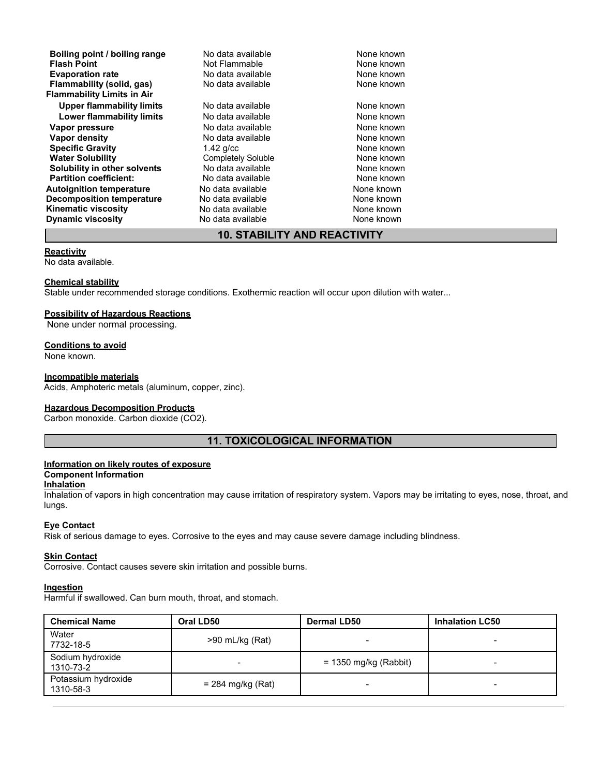| Boiling point / boiling range<br><b>Flash Point</b>            | No data available<br>Not Flammable | None known<br>None known |
|----------------------------------------------------------------|------------------------------------|--------------------------|
| <b>Evaporation rate</b>                                        | No data available                  | None known               |
| Flammability (solid, gas)                                      | No data available                  | None known               |
| <b>Flammability Limits in Air</b><br>Upper flammability limits | No data available                  | None known               |
| Lower flammability limits                                      | No data available                  | None known               |
| Vapor pressure                                                 | No data available                  | None known               |
| Vapor density                                                  | No data available                  | None known               |
| <b>Specific Gravity</b>                                        | $1.42$ g/cc                        | None known               |
| <b>Water Solubility</b>                                        | <b>Completely Soluble</b>          | None known               |
| Solubility in other solvents                                   | No data available                  | None known               |
| <b>Partition coefficient:</b>                                  | No data available                  | None known               |
| <b>Autoignition temperature</b>                                | No data available                  | None known               |
| <b>Decomposition temperature</b>                               | No data available                  | None known               |
| <b>Kinematic viscosity</b>                                     | No data available                  | None known               |
| <b>Dynamic viscosity</b>                                       | No data available                  | None known               |

## **10. STABILITY AND REACTIVITY**

#### **Reactivity**

No data available.

#### **Chemical stability**

Stable under recommended storage conditions. Exothermic reaction will occur upon dilution with water...

## **Possibility of Hazardous Reactions**

None under normal processing.

#### **Conditions to avoid**

None known.

#### **Incompatible materials**

Acids, Amphoteric metals (aluminum, copper, zinc).

#### **Hazardous Decomposition Products**

Carbon monoxide. Carbon dioxide (CO2).

## **11. TOXICOLOGICAL INFORMATION**

## **Information on likely routes of exposure**

## **Component Information**

#### **Inhalation**

Inhalation of vapors in high concentration may cause irritation of respiratory system. Vapors may be irritating to eyes, nose, throat, and lungs.

## **Eye Contact**

Risk of serious damage to eyes. Corrosive to the eyes and may cause severe damage including blindness.

#### **Skin Contact**

Corrosive. Contact causes severe skin irritation and possible burns.

#### **Ingestion**

Harmful if swallowed. Can burn mouth, throat, and stomach.

| <b>Chemical Name</b>             | Oral LD50           | <b>Dermal LD50</b>      | <b>Inhalation LC50</b> |
|----------------------------------|---------------------|-------------------------|------------------------|
| Water<br>7732-18-5               | >90 mL/kg (Rat)     |                         |                        |
| Sodium hydroxide<br>1310-73-2    | $\blacksquare$      | $= 1350$ mg/kg (Rabbit) |                        |
| Potassium hydroxide<br>1310-58-3 | $= 284$ mg/kg (Rat) |                         |                        |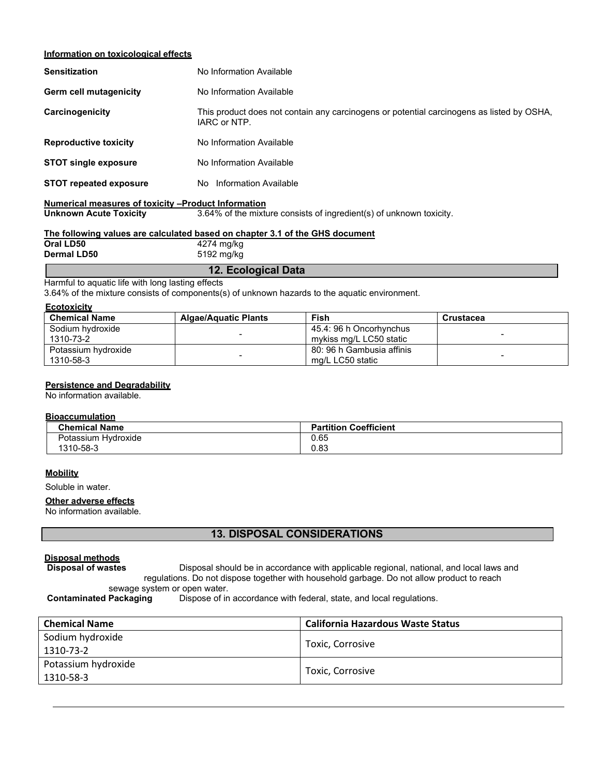#### **Information on toxicological effects**

| <b>Sensitization</b>          | No Information Available                                                                                  |
|-------------------------------|-----------------------------------------------------------------------------------------------------------|
| Germ cell mutagenicity        | No Information Available                                                                                  |
| Carcinogenicity               | This product does not contain any carcinogens or potential carcinogens as listed by OSHA,<br>IARC or NTP. |
| <b>Reproductive toxicity</b>  | No Information Available                                                                                  |
| <b>STOT single exposure</b>   | No Information Available                                                                                  |
| <b>STOT repeated exposure</b> | No Information Available                                                                                  |
|                               |                                                                                                           |

# **Numerical measures of toxicity –Product Information**

**Unknown Acute Toxicity** 3.64% of the mixture consists of ingredient(s) of unknown toxicity.

#### **The following values are calculated based on chapter 3.1 of the GHS document Oral LD50** 4274 mg/kg<br> **Dermal LD50** 5192 mg/kg **Dermal LD50** 5192 mg/kg

**12. Ecological Data**

Harmful to aquatic life with long lasting effects

3.64% of the mixture consists of components(s) of unknown hazards to the aquatic environment.

#### **Ecotoxicity**

| <b>Chemical Name</b>             | <b>Algae/Aquatic Plants</b> | <b>Fish</b>                                        | Crustacea |
|----------------------------------|-----------------------------|----------------------------------------------------|-----------|
| Sodium hydroxide<br>1310-73-2    |                             | 45.4: 96 h Oncorhynchus<br>mykiss mg/L LC50 static |           |
| Potassium hydroxide<br>1310-58-3 |                             | 80: 96 h Gambusia affinis<br>mg/L LC50 static      |           |

#### **Persistence and Degradability**

No information available.

#### **Bioaccumulation**

| <b>Chemical Name</b>     | <b>Partition Coefficient</b> |
|--------------------------|------------------------------|
| Potassium<br>າ Hvdroxide | 0.65                         |
| 1310-58-3                | 0.83                         |

#### **Mobility**

Soluble in water.

#### **Other adverse effects**

No information available.

## **13. DISPOSAL CONSIDERATIONS**

# **Disposal methods**

**Disposal of wastes** Disposal should be in accordance with applicable regional, national, and local laws and regulations. Do not dispose together with household garbage. Do not allow product to reach

sewage system or open water.<br>Contaminated Packaging Dispose of in

Dispose of in accordance with federal, state, and local regulations.

| <b>Chemical Name</b>             | <b>California Hazardous Waste Status</b> |
|----------------------------------|------------------------------------------|
| Sodium hydroxide<br>1310-73-2    | Toxic, Corrosive                         |
| Potassium hydroxide<br>1310-58-3 | Toxic, Corrosive                         |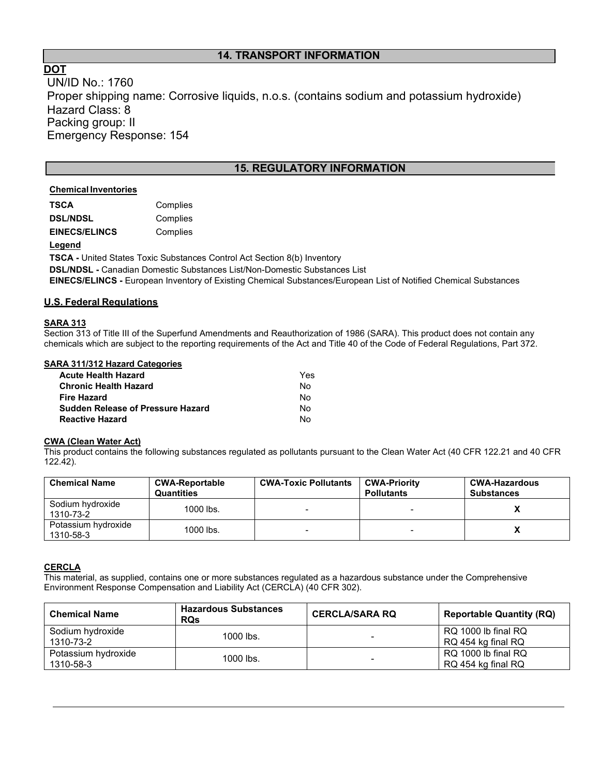## **14. TRANSPORT INFORMATION**

## **DOT**

UN/ID No.: 1760 Proper shipping name: Corrosive liquids, n.o.s. (contains sodium and potassium hydroxide) Hazard Class: 8 Packing group: II Emergency Response: 154

## **15. REGULATORY INFORMATION**

## **Chemical Inventories**

| TSCA                 | Complies |
|----------------------|----------|
| <b>DSL/NDSL</b>      | Complies |
| <b>EINECS/ELINCS</b> | Complies |

#### **Legend**

**TSCA -** United States Toxic Substances Control Act Section 8(b) Inventory **DSL/NDSL -** Canadian Domestic Substances List/Non-Domestic Substances List **EINECS/ELINCS -** European Inventory of Existing Chemical Substances/European List of Notified Chemical Substances

## **U.S. Federal Regulations**

### **SARA 313**

Section 313 of Title III of the Superfund Amendments and Reauthorization of 1986 (SARA). This product does not contain any chemicals which are subject to the reporting requirements of the Act and Title 40 of the Code of Federal Regulations, Part 372.

#### **SARA 311/312 Hazard Categories**

| <b>Acute Health Hazard</b>               | Yes |
|------------------------------------------|-----|
| <b>Chronic Health Hazard</b>             | N٥  |
| <b>Fire Hazard</b>                       | N٥  |
| <b>Sudden Release of Pressure Hazard</b> | N٥  |
| <b>Reactive Hazard</b>                   | N٥  |

#### **CWA (Clean Water Act)**

This product contains the following substances regulated as pollutants pursuant to the Clean Water Act (40 CFR 122.21 and 40 CFR 122.42).

| <b>Chemical Name</b>             | <b>CWA-Reportable</b><br><b>Quantities</b> | <b>CWA-Toxic Pollutants</b> | <b>CWA-Priority</b><br><b>Pollutants</b> | <b>CWA-Hazardous</b><br><b>Substances</b> |
|----------------------------------|--------------------------------------------|-----------------------------|------------------------------------------|-------------------------------------------|
| Sodium hydroxide<br>1310-73-2    | 1000 lbs.                                  |                             |                                          |                                           |
| Potassium hydroxide<br>1310-58-3 | 1000 lbs.                                  |                             |                                          |                                           |

## **CERCLA**

This material, as supplied, contains one or more substances regulated as a hazardous substance under the Comprehensive Environment Response Compensation and Liability Act (CERCLA) (40 CFR 302).

| <b>Chemical Name</b>             | <b>Hazardous Substances</b><br><b>RQs</b> | <b>CERCLA/SARA RQ</b>    | <b>Reportable Quantity (RQ)</b>           |
|----------------------------------|-------------------------------------------|--------------------------|-------------------------------------------|
| Sodium hydroxide<br>1310-73-2    | $1000$ lbs.                               | ۰                        | RQ 1000 lb final RQ<br>RQ 454 kg final RQ |
| Potassium hydroxide<br>1310-58-3 | $1000$ lbs.                               | $\overline{\phantom{0}}$ | RQ 1000 lb final RQ<br>RQ 454 kg final RQ |